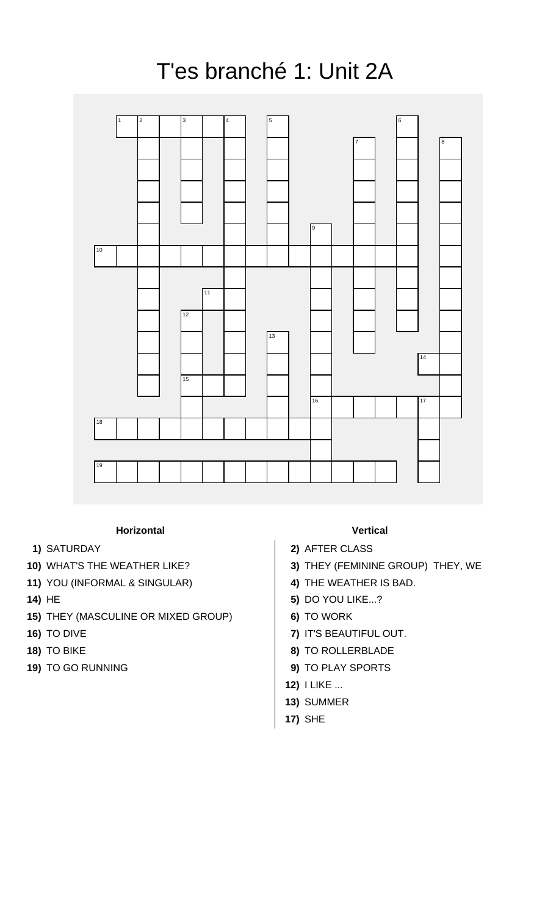## T'es branché 1: Unit 2A



## **Horizontal Vertical**

- 
- 
- **11)** YOU (INFORMAL & SINGULAR) **4)** THE WEATHER IS BAD.
- 
- **15)** THEY (MASCULINE OR MIXED GROUP) **6)** TO WORK
- 
- 
- 

- **1)** SATURDAY **2)** AFTER CLASS
- **10)** WHAT'S THE WEATHER LIKE? **3)** THEY (FEMININE GROUP) THEY, WE
	-
- **14)** HE **5)** DO YOU LIKE...?
	-
- **16)** TO DIVE **7)** IT'S BEAUTIFUL OUT.
- **18)** TO BIKE **8)** TO ROLLERBLADE
- **19)** TO GO RUNNING **9)** TO PLAY SPORTS
	- **12)** I LIKE ...
	- **13)** SUMMER
	- **17)** SHE